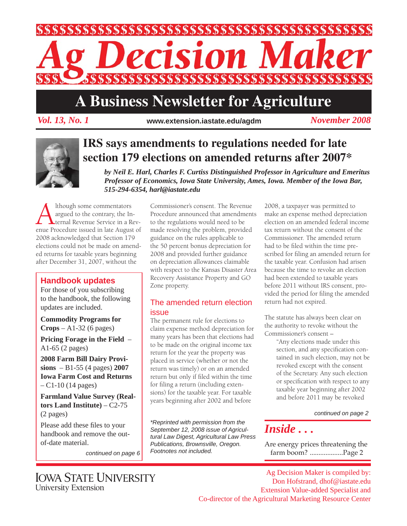

# **A Business Newsletter for Agriculture**

*Vol. 13, No. 1 November 2008* **www.extension.iastate.edu/agdm**



## **IRS says amendments to regulations needed for late section 179 elections on amended returns after 2007\***

*by Neil E. Harl, Charles F. Curtiss Distinguished Professor in Agriculture and Emeritus Professor of Economics, Iowa State University, Ames, Iowa. Member of the Iowa Bar, 515-294-6354, harl@iastate.edu*

Although some commentators<br>
argued to the contrary, the In-<br>
ternal Revenue Service in a Rev-<br>
enue Procedure issued in late August of argued to the contrary, the Internal Revenue Service in a Rev-2008 acknowledged that Section 179 elections could not be made on amended returns for taxable years beginning after December 31, 2007, without the

### **Handbook updates**

For those of you subscribing to the handbook, the following updates are included.

**Commodity Programs for Crops** – A1-32 (6 pages)

**Pricing Forage in the Field** – A1-65 (2 pages)

**2008 Farm Bill Dairy Provisions** – B1-55 (4 pages) **2007 Iowa Farm Cost and Returns**  – C1-10 (14 pages)

**Farmland Value Survey (Realtors Land Institute)** – C2-75 (2 pages)

Please add these files to your handbook and remove the outof-date material.

*continued on page 6*

Commissioner's consent. The Revenue Procedure announced that amendments to the regulations would need to be made resolving the problem, provided guidance on the rules applicable to the 50 percent bonus depreciation for 2008 and provided further guidance on depreciation allowances claimable with respect to the Kansas Disaster Area Recovery Assistance Property and GO Zone property.

### The amended return election issue

The permanent rule for elections to claim expense method depreciation for many years has been that elections had to be made on the original income tax return for the year the property was placed in service (whether or not the return was timely) or on an amended return but only if filed within the time for filing a return (including extensions) for the taxable year. For taxable years beginning after 2002 and before

*\*Reprinted with permission from the September 12, 2008 issue of Agricultural Law Digest, Agricultural Law Press Publications, Brownsville, Oregon. Footnotes not included.*

2008, a taxpayer was permitted to make an expense method depreciation election on an amended federal income tax return without the consent of the Commissioner. The amended return had to be filed within the time prescribed for filing an amended return for the taxable year. Confusion had arisen because the time to revoke an election had been extended to taxable years before 2011 without IRS consent, provided the period for filing the amended return had not expired.

The statute has always been clear on the authority to revoke without the Commissioner's consent –

> "Any elections made under this section, and any specification contained in such election, may not be revoked except with the consent of the Secretary. Any such election or specification with respect to any taxable year beginning after 2002 and before 2011 may be revoked

> > *continued on page 2*

## *Inside . . .*

Are energy prices threatening the farm boom? ...................Page 2

**IOWA STATE UNIVERSITY University Extension** 

Ag Decision Maker is compiled by: Don Hofstrand, dhof@iastate.edu Extension Value-added Specialist and Co-director of the Agricultural Marketing Resource Center